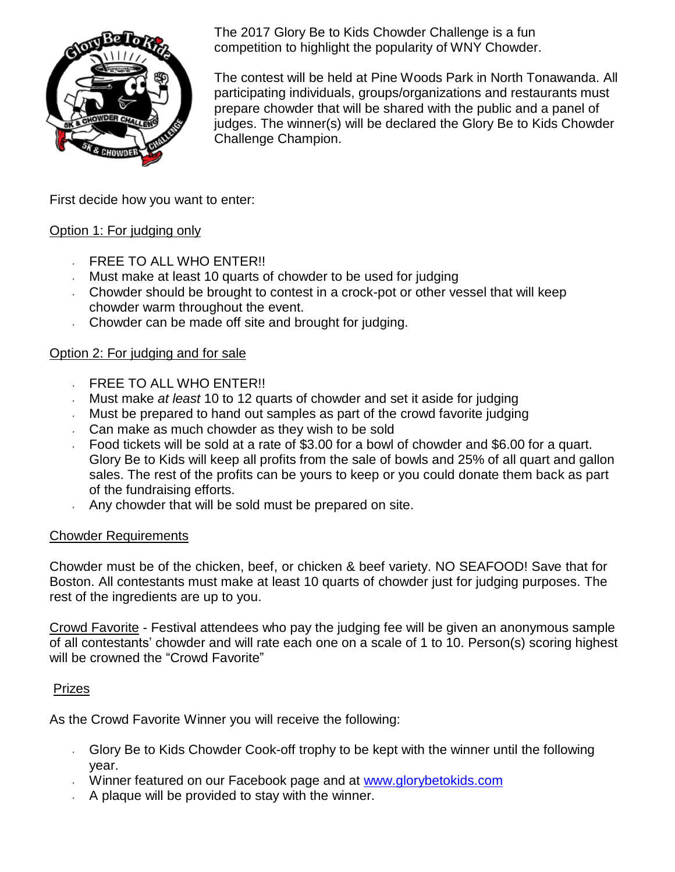

The 2017 Glory Be to Kids Chowder Challenge is a fun competition to highlight the popularity of WNY Chowder.

The contest will be held at Pine Woods Park in North Tonawanda. All participating individuals, groups/organizations and restaurants must prepare chowder that will be shared with the public and a panel of judges. The winner(s) will be declared the Glory Be to Kids Chowder Challenge Champion.

First decide how you want to enter:

## Option 1: For judging only

- FREE TO ALL WHO ENTER!!
- Must make at least 10 quarts of chowder to be used for judging
- Chowder should be brought to contest in a crock-pot or other vessel that will keep chowder warm throughout the event.
- Chowder can be made off site and brought for judging.

# Option 2: For judging and for sale

- FREE TO ALL WHO ENTER!!  $\mathbf{y}^{(i)}$
- Must make *at least* 10 to 12 quarts of chowder and set it aside for judging
- Must be prepared to hand out samples as part of the crowd favorite judging  $\mathbf{z}$
- Can make as much chowder as they wish to be sold
- Food tickets will be sold at a rate of \$3.00 for a bowl of chowder and \$6.00 for a quart. Glory Be to Kids will keep all profits from the sale of bowls and 25% of all quart and gallon sales. The rest of the profits can be yours to keep or you could donate them back as part of the fundraising efforts.
- Any chowder that will be sold must be prepared on site.

## Chowder Requirements

Chowder must be of the chicken, beef, or chicken & beef variety. NO SEAFOOD! Save that for Boston. All contestants must make at least 10 quarts of chowder just for judging purposes. The rest of the ingredients are up to you.

Crowd Favorite - Festival attendees who pay the judging fee will be given an anonymous sample of all contestants' chowder and will rate each one on a scale of 1 to 10. Person(s) scoring highest will be crowned the "Crowd Favorite"

## Prizes

As the Crowd Favorite Winner you will receive the following:

- Glory Be to Kids Chowder Cook-off trophy to be kept with the winner until the following year.
- Winner featured on our Facebook page and at [www.glorybetokids.com](http://www.glorybetokids.com/%22http%3A/www.glorybetokids.com/%22)
- A plaque will be provided to stay with the winner.